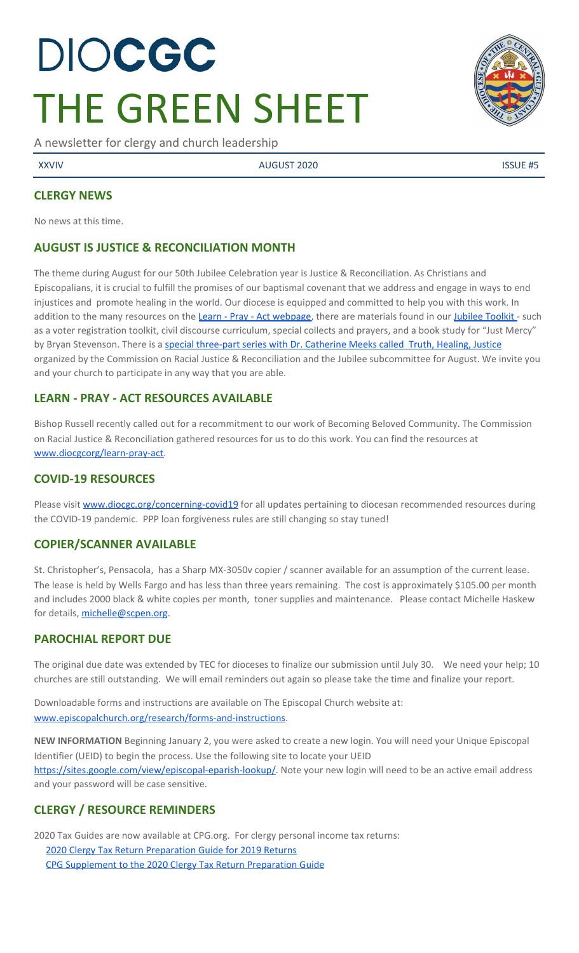# DIOCGC THE GREEN SHEET

A newsletter for clergy and church leadership

XXVIV AUGUST 2020 ISSUE #5

## **CLERGY NEWS**

No news at this time.

# **AUGUST IS JUSTICE & RECONCILIATION MONTH**

The theme during August for our 50th Jubilee Celebration year is Justice & Reconciliation. As Christians and Episcopalians, it is crucial to fulfill the promises of our baptismal covenant that we address and engage in ways to end injustices and promote healing in the world. Our diocese is equipped and committed to help you with this work. In addition to the many resources on the Learn - Pray - Act [webpage,](https://www.diocgc.org/learn-pray-act) there are materials found in our [Jubilee](https://www.diocgc.org/jubilee-celebration-resources) Toolkit - such as a voter registration toolkit, civil discourse curriculum, special collects and prayers, and a book study for "Just Mercy" by Bryan Stevenson. There is a special [three-part](https://www.diocgc.org/post/truth-healing-justice) series with Dr. Catherine Meeks called Truth, Healing, Justice organized by the Commission on Racial Justice & Reconciliation and the Jubilee subcommittee for August. We invite you and your church to participate in any way that you are able.

# **LEARN - PRAY - ACT RESOURCES AVAILABLE**

Bishop Russell recently called out for a recommitment to our work of Becoming Beloved Community. The Commission on Racial Justice & Reconciliation gathered resources for us to do this work. You can find the resources at [www.diocgcorg/learn-pray-act.](http://www.diocgcorg/learn-pray-act)

# **COVID-19 RESOURCES**

Please visit [www.diocgc.org/concerning-covid19](http://www.diocgc.org/concerning-covid19) for all updates pertaining to diocesan recommended resources during the COVID-19 pandemic. PPP loan forgiveness rules are still changing so stay tuned!

# **COPIER/SCANNER AVAILABLE**

St. Christopher's, Pensacola, has a Sharp MX-3050v copier / scanner available for an assumption of the current lease. The lease is held by Wells Fargo and has less than three years remaining. The cost is approximately \$105.00 per month and includes 2000 black & white copies per month, toner supplies and maintenance. Please contact Michelle Haskew for details, [michelle@scpen.org](mailto:michelle@scpen.org).

# **PAROCHIAL REPORT DUE**

The original due date was extended by TEC for dioceses to finalize our submission until July 30. We need your help; 10 churches are still outstanding. We will email reminders out again so please take the time and finalize your report.

Downloadable forms and instructions are available on The Episcopal Church website at: [www.episcopalchurch.org/research/forms-and-instructions.](http://www.episcopalchurch.org/research/forms-and-instructions)

**NEW INFORMATION** Beginning January 2, you were asked to create a new login. You will need your Unique Episcopal Identifier (UEID) to begin the process. Use the following site to locate your UEID [https://sites.google.com/view/episcopal-eparish-lookup/.](https://sites.google.com/view/episcopal-eparish-lookup/) Note your new login will need to be an active email address and your password will be case sensitive.

# **CLERGY / RESOURCE REMINDERS**

2020 Tax Guides are now available at CPG.org. For clergy personal income tax returns:

2020 Clergy Tax Return [Preparation](https://www.cpg.org/linkservid/D998735C-CE21-6189-EB815B133ECD868A/showMeta/0/?label=2020%20Clergy%20Tax%20Return%20Preparation%20Guide%20for%202019%20Tax%20Returns) Guide for 2019 Returns CPG [Supplement](https://www.cpg.org/linkservid/DA0301BC-D8CF-06D3-C4C6BAB106394432/showMeta/0/?label=Supplement%20to%20the%202020%20Clergy%20Tax%20Return%20Preparation%20Guide%20for%202019%20Returns) to the 2020 Clergy Tax Return Preparation Guide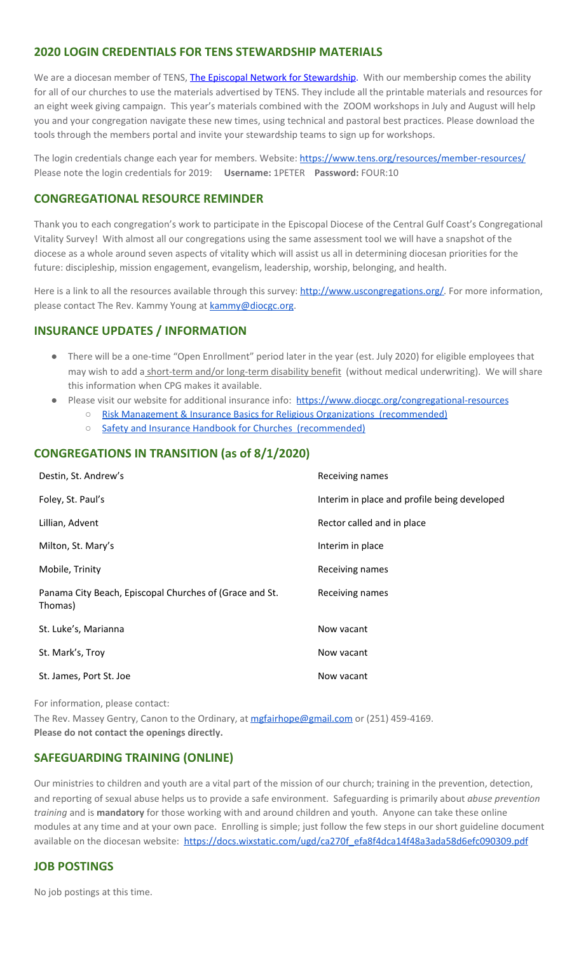## **2020 LOGIN CREDENTIALS FOR TENS STEWARDSHIP MATERIALS**

We are a diocesan member of [T](http://r20.rs6.net/tn.jsp?f=0012pqt_t4bfTKnRF8Xmufb-M4Ry8JkNpVzuf-DfMr466n2fJlrEabEgWXavWDn2Hx3i5ph5cMsQu0KkvBM2IIao7IcazXgBLtGdZrXLuo4poO7i2eq_EiuExGDSC-wd1a3AjKcDRDPj18=&c=9_JBIUfw9Y9WIzA02dVBmW_Dc5eF3SbOEA5-vLB-MbLj0nQWfaMvNg==&ch=bNQQUmRhILUjCbu1RkHCQ0rqqsD1-RBYprcIQ3NuhLlaKPcsXS1TyQ==)ENS, The Episcopal Network for [Stewardship](http://r20.rs6.net/tn.jsp?f=0012pqt_t4bfTKnRF8Xmufb-M4Ry8JkNpVzuf-DfMr466n2fJlrEabEgWXavWDn2Hx3i5ph5cMsQu0KkvBM2IIao7IcazXgBLtGdZrXLuo4poO7i2eq_EiuExGDSC-wd1a3AjKcDRDPj18=&c=9_JBIUfw9Y9WIzA02dVBmW_Dc5eF3SbOEA5-vLB-MbLj0nQWfaMvNg==&ch=bNQQUmRhILUjCbu1RkHCQ0rqqsD1-RBYprcIQ3NuhLlaKPcsXS1TyQ==). With our membership comes the ability for all of our churches to use the materials advertised by TENS. They include all the printable materials and resources for an eight week giving campaign. This year's materials combined with the ZOOM workshops in July and August will help you and your congregation navigate these new times, using technical and pastoral best practices. Please download the tools through the members portal and invite your stewardship teams to sign up for workshops.

The login credentials change each year for members. Website: <https://www.tens.org/resources/member-resources/> Please note the login credentials for 2019: **Username:** 1PETER **Password:** FOUR:10

#### **CONGREGATIONAL RESOURCE REMINDER**

Thank you to each congregation's work to participate in the Episcopal Diocese of the Central Gulf Coast's Congregational Vitality Survey! With almost all our congregations using the same assessment tool we will have a snapshot of the diocese as a whole around seven aspects of vitality which will assist us all in determining diocesan priorities for the future: discipleship, mission engagement, evangelism, leadership, worship, belonging, and health.

Here is a link to all the resources available through this survey: [http://www.uscongregations.org/.](http://www.uscongregations.org/) For more information, please contact The Rev. Kammy Young at [kammy@diocgc.org](mailto:kammy@diocgc.org).

#### **INSURANCE UPDATES / INFORMATION**

- There will be a one-time "Open Enrollment" period later in the year (est. July 2020) for eligible employees that may wish to add a short-term and/or long-term disability benefit (without medical underwriting). We will share this information when CPG makes it available.
- Please visit our website for additional insurance info: <https://www.diocgc.org/congregational-resources>
	- Risk Management & Insurance Basics for Religious Organizations [\(recommended\)](https://2f23db9c-81c0-437f-88c1-0d3b99fdb03d.filesusr.com/ugd/ca270f_0fc945a39bad470191c4075c97602c08.pdf)
		- Safety and Insurance Handbook for Churches [\(recommended\)](https://2f23db9c-81c0-437f-88c1-0d3b99fdb03d.filesusr.com/ugd/4525a9_6b89020a60b040f49e2f7feb44b56873.pdf)

#### **CONGREGATIONS IN TRANSITION (as of 8/1/2020)**

| Destin, St. Andrew's                                               | Receiving names                              |
|--------------------------------------------------------------------|----------------------------------------------|
| Foley, St. Paul's                                                  | Interim in place and profile being developed |
| Lillian, Advent                                                    | Rector called and in place                   |
| Milton, St. Mary's                                                 | Interim in place                             |
| Mobile, Trinity                                                    | Receiving names                              |
| Panama City Beach, Episcopal Churches of (Grace and St.<br>Thomas) | Receiving names                              |
| St. Luke's, Marianna                                               | Now vacant                                   |
| St. Mark's, Troy                                                   | Now vacant                                   |
| St. James, Port St. Joe                                            | Now vacant                                   |

For information, please contact:

The Rev. Massey Gentry, Canon to the Ordinary, at [mgfairhope@gmail.com](mailto:mgfairhope@gmail.com) or (251) 459-4169. **Please do not contact the openings directly.**

#### **SAFEGUARDING TRAINING (ONLINE)**

Our ministries to children and youth are a vital part of the mission of our church; training in the prevention, detection, and reporting of sexual abuse helps us to provide a safe environment. Safeguarding is primarily about *abuse prevention training* and is **mandatory** for those working with and around children and youth. Anyone can take these online modules at any time and at your own pace. Enrolling is simple; just follow the few steps in our short guideline document available on the diocesan website: [https://docs.wixstatic.com/ugd/ca270f\\_efa8f4dca14f48a3ada58d6efc090309.pdf](https://docs.wixstatic.com/ugd/ca270f_efa8f4dca14f48a3ada58d6efc090309.pdf)

#### **JOB POSTINGS**

No job postings at this time.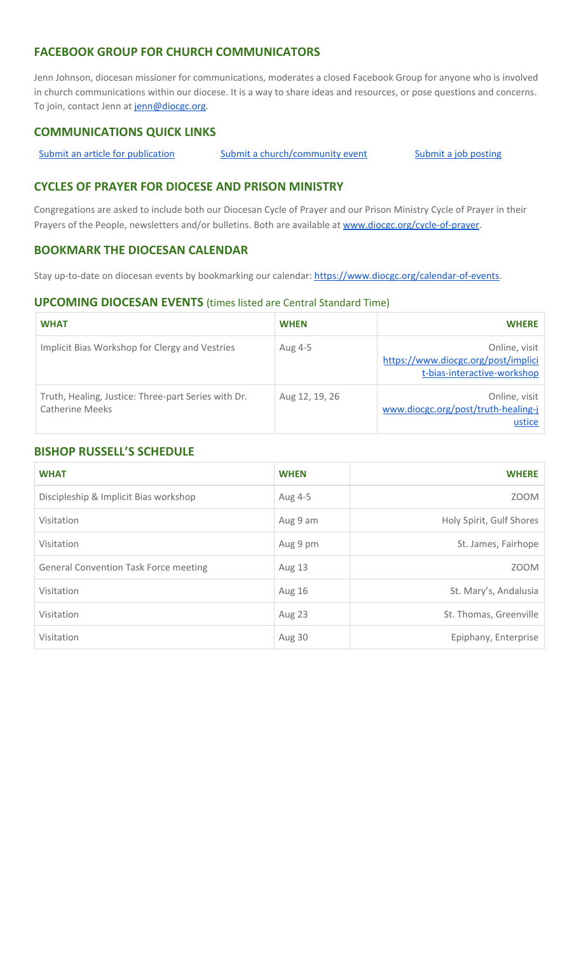## **FACEBOOK GROUP FOR CHURCH COMMUNICATORS**

Jenn Johnson, diocesan missioner for communications, moderates a closed Facebook Group for anyone who is involved in church communications within our diocese. It is a way to share ideas and resources, or pose questions and concerns. To join, contact Jenn at [jenn@diocgc.org.](mailto:jenn@diocgc.org)

## **COMMUNICATIONS QUICK LINKS**

Submit an article for [publication](http://www.emailmeform.com/builder/form/XqOP984Ae60c8m6ynr) Submit a [church/community](http://www.emailmeform.com/builder/form/eOM4Bb6VTb78y20Wrapf8) event Submit a job [posting](https://www.emailmeform.com/builder/form/0cZqC653GdH24p01aWQDfUh)

## **CYCLES OF PRAYER FOR DIOCESE AND PRISON MINISTRY**

Congregations are asked to include both our Diocesan Cycle of Prayer and our Prison Ministry Cycle of Prayer in their Prayers of the People, newsletters and/or bulletins. Both are available at [www.diocgc.org/cycle-of-prayer.](http://www.diocgc.org/cycle-of-prayer)

### **BOOKMARK THE DIOCESAN CALENDAR**

Stay up-to-date on diocesan events by bookmarking our calendar: [https://www.diocgc.org/calendar-of-events.](https://www.diocgc.org/calendar-of-events)

#### **UPCOMING DIOCESAN EVENTS** (times listed are Central Standard Time)

| <b>WHAT</b>                                                            | <b>WHEN</b>    | <b>WHERE</b>                                                                        |
|------------------------------------------------------------------------|----------------|-------------------------------------------------------------------------------------|
| Implicit Bias Workshop for Clergy and Vestries                         | Aug 4-5        | Online, visit<br>https://www.diocgc.org/post/implici<br>t-bias-interactive-workshop |
| Truth, Healing, Justice: Three-part Series with Dr.<br>Catherine Meeks | Aug 12, 19, 26 | Online, visit<br>www.diocgc.org/post/truth-healing-j<br>ustice                      |

#### **BISHOP RUSSELL'S SCHEDULE**

| <b>WHAT</b>                                  | <b>WHEN</b>   | <b>WHERE</b>             |
|----------------------------------------------|---------------|--------------------------|
| Discipleship & Implicit Bias workshop        | Aug 4-5       | <b>ZOOM</b>              |
| Visitation                                   | Aug 9 am      | Holy Spirit, Gulf Shores |
| Visitation                                   | Aug 9 pm      | St. James, Fairhope      |
| <b>General Convention Task Force meeting</b> | <b>Aug 13</b> | <b>ZOOM</b>              |
| Visitation                                   | <b>Aug 16</b> | St. Mary's, Andalusia    |
| Visitation                                   | Aug 23        | St. Thomas, Greenville   |
| Visitation                                   | Aug 30        | Epiphany, Enterprise     |